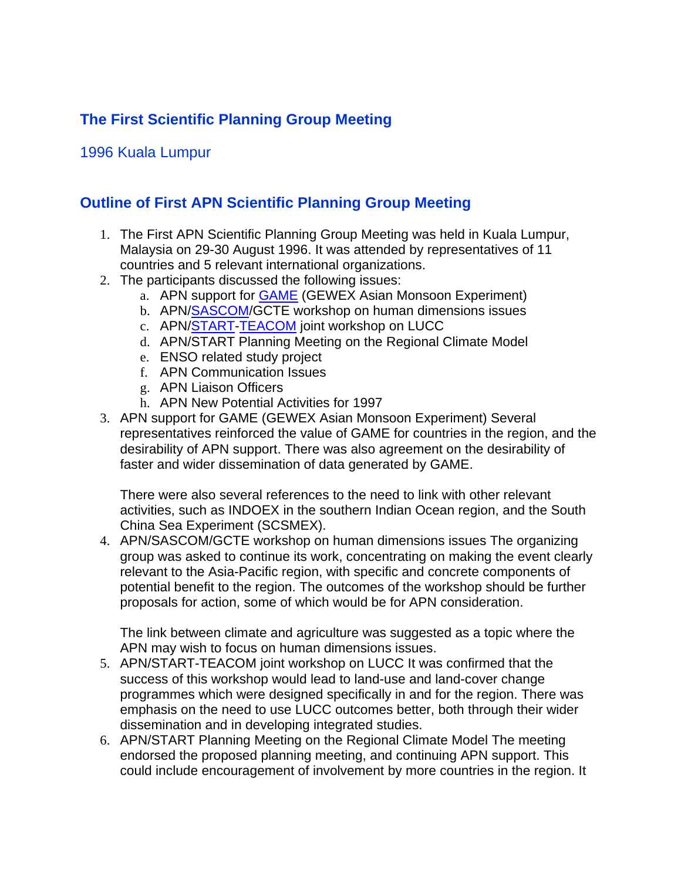## **The First Scientific Planning Group Meeting**

## 1996 Kuala Lumpur

## **Outline of First APN Scientific Planning Group Meeting**

- 1. The First APN Scientific Planning Group Meeting was held in Kuala Lumpur, Malaysia on 29-30 August 1996. It was attended by representatives of 11 countries and 5 relevant international organizations.
- 2. The participants discussed the following issues:
	- a. APN support for GAME (GEWEX Asian Monsoon Experiment)
	- b. APN/SASCOM/GCTE workshop on human dimensions issues
	- c. APN/START-TEACOM joint workshop on LUCC
	- d. APN/START Planning Meeting on the Regional Climate Model
	- e. ENSO related study project
	- f. APN Communication Issues
	- g. APN Liaison Officers
	- h. APN New Potential Activities for 1997
- 3. APN support for GAME (GEWEX Asian Monsoon Experiment) Several representatives reinforced the value of GAME for countries in the region, and the desirability of APN support. There was also agreement on the desirability of faster and wider dissemination of data generated by GAME.

There were also several references to the need to link with other relevant activities, such as INDOEX in the southern Indian Ocean region, and the South China Sea Experiment (SCSMEX).

4. APN/SASCOM/GCTE workshop on human dimensions issues The organizing group was asked to continue its work, concentrating on making the event clearly relevant to the Asia-Pacific region, with specific and concrete components of potential benefit to the region. The outcomes of the workshop should be further proposals for action, some of which would be for APN consideration.

The link between climate and agriculture was suggested as a topic where the APN may wish to focus on human dimensions issues.

- 5. APN/START-TEACOM joint workshop on LUCC It was confirmed that the success of this workshop would lead to land-use and land-cover change programmes which were designed specifically in and for the region. There was emphasis on the need to use LUCC outcomes better, both through their wider dissemination and in developing integrated studies.
- 6. APN/START Planning Meeting on the Regional Climate Model The meeting endorsed the proposed planning meeting, and continuing APN support. This could include encouragement of involvement by more countries in the region. It